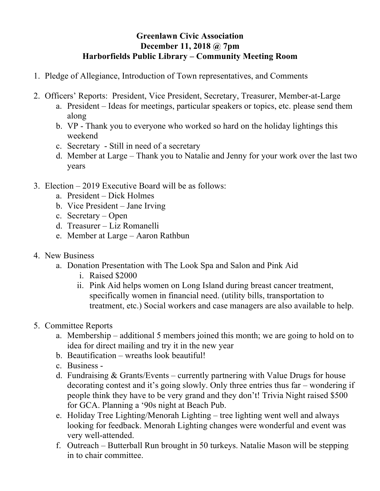## **Greenlawn Civic Association December 11, 2018 @ 7pm Harborfields Public Library – Community Meeting Room**

- 1. Pledge of Allegiance, Introduction of Town representatives, and Comments
- 2. Officers' Reports: President, Vice President, Secretary, Treasurer, Member-at-Large
	- a. President Ideas for meetings, particular speakers or topics, etc. please send them along
	- b. VP Thank you to everyone who worked so hard on the holiday lightings this weekend
	- c. Secretary Still in need of a secretary
	- d. Member at Large Thank you to Natalie and Jenny for your work over the last two years
- 3. Election 2019 Executive Board will be as follows:
	- a. President Dick Holmes
	- b. Vice President Jane Irving
	- c. Secretary Open
	- d. Treasurer Liz Romanelli
	- e. Member at Large Aaron Rathbun
- 4. New Business
	- a. Donation Presentation with The Look Spa and Salon and Pink Aid
		- i. Raised \$2000
		- ii. Pink Aid helps women on Long Island during breast cancer treatment, specifically women in financial need. (utility bills, transportation to treatment, etc.) Social workers and case managers are also available to help.
- 5. Committee Reports
	- a. Membership additional 5 members joined this month; we are going to hold on to idea for direct mailing and try it in the new year
	- b. Beautification wreaths look beautiful!
	- c. Business -
	- d. Fundraising & Grants/Events currently partnering with Value Drugs for house decorating contest and it's going slowly. Only three entries thus far – wondering if people think they have to be very grand and they don't! Trivia Night raised \$500 for GCA. Planning a '90s night at Beach Pub.
	- e. Holiday Tree Lighting/Menorah Lighting tree lighting went well and always looking for feedback. Menorah Lighting changes were wonderful and event was very well-attended.
	- f. Outreach Butterball Run brought in 50 turkeys. Natalie Mason will be stepping in to chair committee.